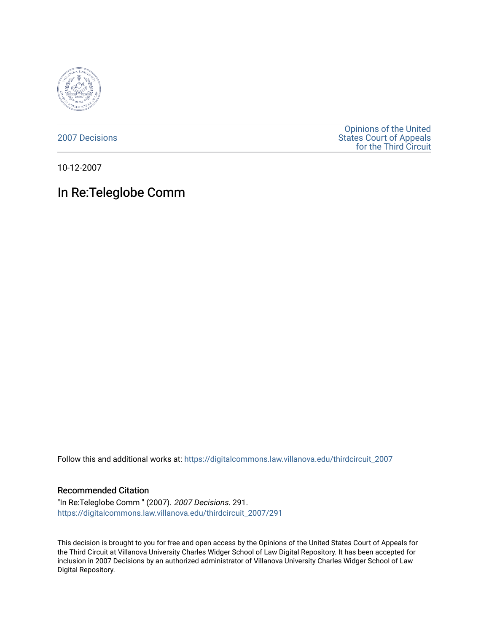

[2007 Decisions](https://digitalcommons.law.villanova.edu/thirdcircuit_2007)

[Opinions of the United](https://digitalcommons.law.villanova.edu/thirdcircuit)  [States Court of Appeals](https://digitalcommons.law.villanova.edu/thirdcircuit)  [for the Third Circuit](https://digitalcommons.law.villanova.edu/thirdcircuit) 

10-12-2007

# In Re:Teleglobe Comm

Follow this and additional works at: [https://digitalcommons.law.villanova.edu/thirdcircuit\\_2007](https://digitalcommons.law.villanova.edu/thirdcircuit_2007?utm_source=digitalcommons.law.villanova.edu%2Fthirdcircuit_2007%2F291&utm_medium=PDF&utm_campaign=PDFCoverPages) 

#### Recommended Citation

"In Re:Teleglobe Comm " (2007). 2007 Decisions. 291. [https://digitalcommons.law.villanova.edu/thirdcircuit\\_2007/291](https://digitalcommons.law.villanova.edu/thirdcircuit_2007/291?utm_source=digitalcommons.law.villanova.edu%2Fthirdcircuit_2007%2F291&utm_medium=PDF&utm_campaign=PDFCoverPages)

This decision is brought to you for free and open access by the Opinions of the United States Court of Appeals for the Third Circuit at Villanova University Charles Widger School of Law Digital Repository. It has been accepted for inclusion in 2007 Decisions by an authorized administrator of Villanova University Charles Widger School of Law Digital Repository.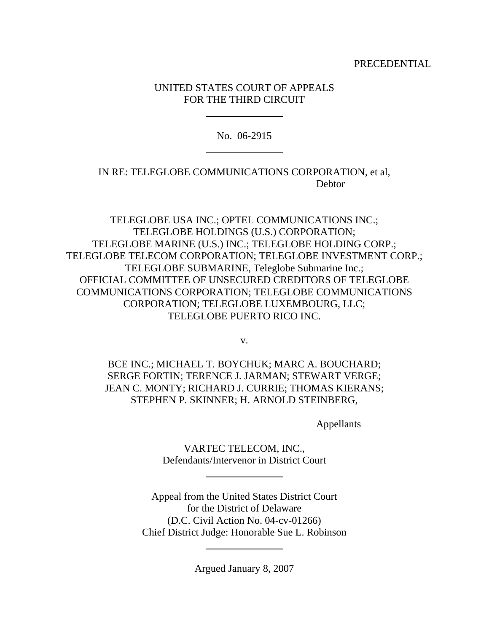PRECEDENTIAL

### UNITED STATES COURT OF APPEALS FOR THE THIRD CIRCUIT

 $\overline{a}$ 

 $\overline{a}$ 

No. 06-2915

## IN RE: TELEGLOBE COMMUNICATIONS CORPORATION, et al, **Debtor**

TELEGLOBE USA INC.; OPTEL COMMUNICATIONS INC.; TELEGLOBE HOLDINGS (U.S.) CORPORATION; TELEGLOBE MARINE (U.S.) INC.; TELEGLOBE HOLDING CORP.; TELEGLOBE TELECOM CORPORATION; TELEGLOBE INVESTMENT CORP.; TELEGLOBE SUBMARINE, Teleglobe Submarine Inc.; OFFICIAL COMMITTEE OF UNSECURED CREDITORS OF TELEGLOBE COMMUNICATIONS CORPORATION; TELEGLOBE COMMUNICATIONS CORPORATION; TELEGLOBE LUXEMBOURG, LLC; TELEGLOBE PUERTO RICO INC.

v.

BCE INC.; MICHAEL T. BOYCHUK; MARC A. BOUCHARD; SERGE FORTIN; TERENCE J. JARMAN; STEWART VERGE; JEAN C. MONTY; RICHARD J. CURRIE; THOMAS KIERANS; STEPHEN P. SKINNER; H. ARNOLD STEINBERG,

Appellants

VARTEC TELECOM, INC., Defendants/Intervenor in District Court

 $\overline{a}$ 

 $\overline{a}$ 

Appeal from the United States District Court for the District of Delaware (D.C. Civil Action No. 04-cv-01266) Chief District Judge: Honorable Sue L. Robinson

Argued January 8, 2007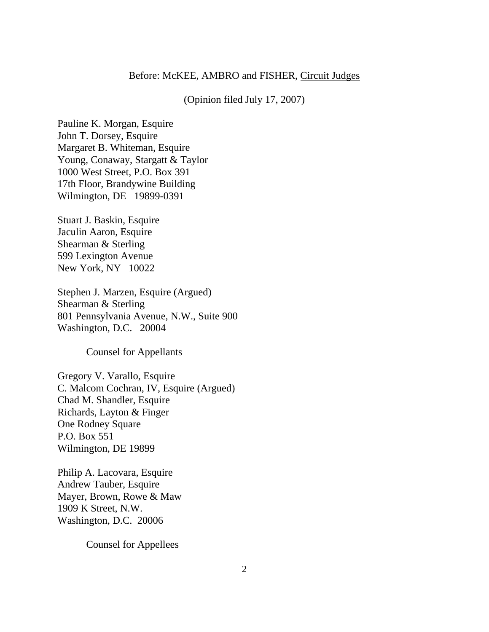### Before: McKEE, AMBRO and FISHER, Circuit Judges

### (Opinion filed July 17, 2007)

Pauline K. Morgan, Esquire John T. Dorsey, Esquire Margaret B. Whiteman, Esquire Young, Conaway, Stargatt & Taylor 1000 West Street, P.O. Box 391 17th Floor, Brandywine Building Wilmington, DE 19899-0391

Stuart J. Baskin, Esquire Jaculin Aaron, Esquire Shearman & Sterling 599 Lexington Avenue New York, NY 10022

Stephen J. Marzen, Esquire (Argued) Shearman & Sterling 801 Pennsylvania Avenue, N.W., Suite 900 Washington, D.C. 20004

Counsel for Appellants

Gregory V. Varallo, Esquire C. Malcom Cochran, IV, Esquire (Argued) Chad M. Shandler, Esquire Richards, Layton & Finger One Rodney Square P.O. Box 551 Wilmington, DE 19899

Philip A. Lacovara, Esquire Andrew Tauber, Esquire Mayer, Brown, Rowe & Maw 1909 K Street, N.W. Washington, D.C. 20006

Counsel for Appellees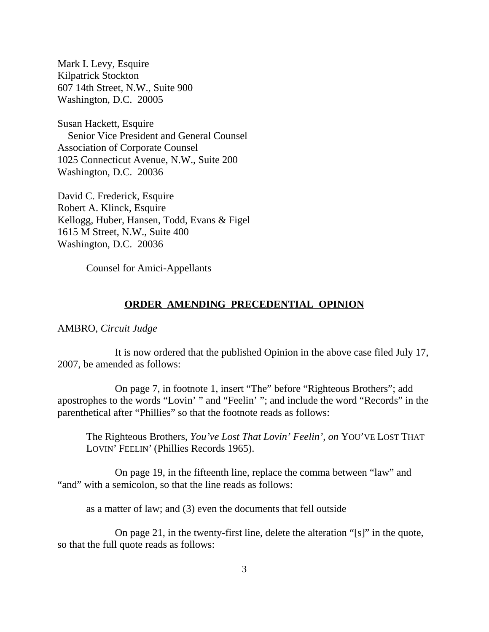Mark I. Levy, Esquire Kilpatrick Stockton 607 14th Street, N.W., Suite 900 Washington, D.C. 20005

Susan Hackett, Esquire Senior Vice President and General Counsel Association of Corporate Counsel 1025 Connecticut Avenue, N.W., Suite 200 Washington, D.C. 20036

David C. Frederick, Esquire Robert A. Klinck, Esquire Kellogg, Huber, Hansen, Todd, Evans & Figel 1615 M Street, N.W., Suite 400 Washington, D.C. 20036

Counsel for Amici-Appellants

### **ORDER AMENDING PRECEDENTIAL OPINION**

AMBRO, *Circuit Judge*

It is now ordered that the published Opinion in the above case filed July 17, 2007, be amended as follows:

On page 7, in footnote 1, insert "The" before "Righteous Brothers"; add apostrophes to the words "Lovin' " and "Feelin' "; and include the word "Records" in the parenthetical after "Phillies" so that the footnote reads as follows:

The Righteous Brothers, *You've Lost That Lovin' Feelin'*, *on* YOU'VE LOST THAT LOVIN' FEELIN' (Phillies Records 1965).

On page 19, in the fifteenth line, replace the comma between "law" and "and" with a semicolon, so that the line reads as follows:

as a matter of law; and (3) even the documents that fell outside

On page 21, in the twenty-first line, delete the alteration "[s]" in the quote, so that the full quote reads as follows: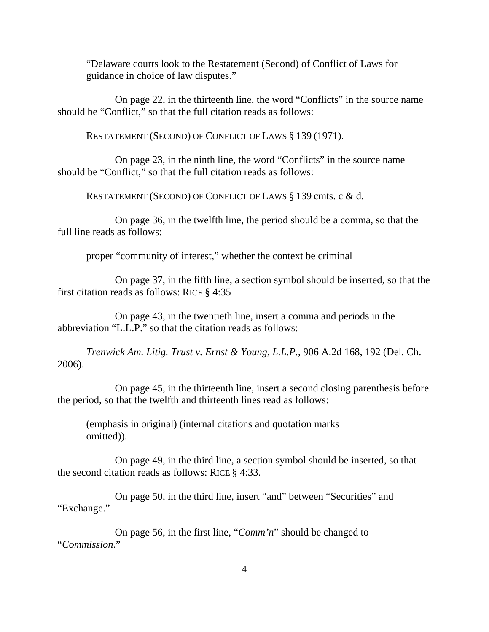"Delaware courts look to the Restatement (Second) of Conflict of Laws for guidance in choice of law disputes."

On page 22, in the thirteenth line, the word "Conflicts" in the source name should be "Conflict," so that the full citation reads as follows:

RESTATEMENT (SECOND) OF CONFLICT OF LAWS § 139 (1971).

On page 23, in the ninth line, the word "Conflicts" in the source name should be "Conflict," so that the full citation reads as follows:

RESTATEMENT (SECOND) OF CONFLICT OF LAWS § 139 cmts. c & d.

On page 36, in the twelfth line, the period should be a comma, so that the full line reads as follows:

proper "community of interest," whether the context be criminal

On page 37, in the fifth line, a section symbol should be inserted, so that the first citation reads as follows: RICE § 4:35

On page 43, in the twentieth line, insert a comma and periods in the abbreviation "L.L.P." so that the citation reads as follows:

*Trenwick Am. Litig. Trust v. Ernst & Young, L.L.P.*, 906 A.2d 168, 192 (Del. Ch. 2006).

On page 45, in the thirteenth line, insert a second closing parenthesis before the period, so that the twelfth and thirteenth lines read as follows:

(emphasis in original) (internal citations and quotation marks omitted)).

On page 49, in the third line, a section symbol should be inserted, so that the second citation reads as follows: RICE § 4:33.

On page 50, in the third line, insert "and" between "Securities" and "Exchange."

On page 56, in the first line, "*Comm'n*" should be changed to "*Commission*."